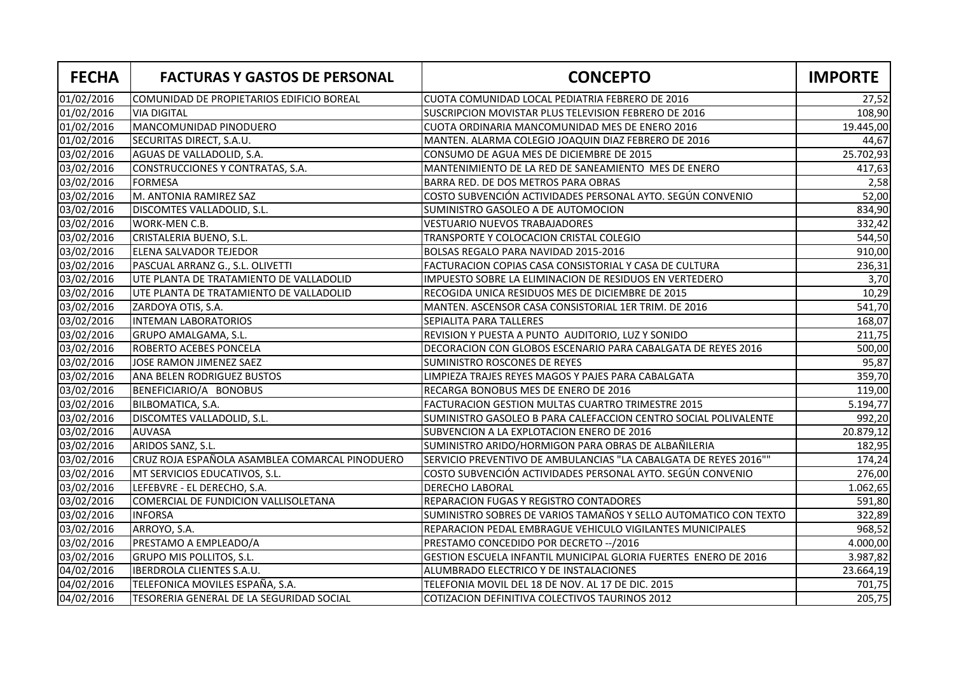| <b>FECHA</b> | <b>FACTURAS Y GASTOS DE PERSONAL</b>           | <b>CONCEPTO</b>                                                  | <b>IMPORTE</b> |
|--------------|------------------------------------------------|------------------------------------------------------------------|----------------|
| 01/02/2016   | COMUNIDAD DE PROPIETARIOS EDIFICIO BOREAL      | CUOTA COMUNIDAD LOCAL PEDIATRIA FEBRERO DE 2016                  | 27,52          |
| 01/02/2016   | <b>VIA DIGITAL</b>                             | SUSCRIPCION MOVISTAR PLUS TELEVISION FEBRERO DE 2016             | 108,90         |
| 01/02/2016   | MANCOMUNIDAD PINODUERO                         | CUOTA ORDINARIA MANCOMUNIDAD MES DE ENERO 2016                   | 19.445,00      |
| 01/02/2016   | SECURITAS DIRECT, S.A.U.                       | MANTEN. ALARMA COLEGIO JOAQUIN DIAZ FEBRERO DE 2016              | 44,67          |
| 03/02/2016   | AGUAS DE VALLADOLID, S.A.                      | CONSUMO DE AGUA MES DE DICIEMBRE DE 2015                         | 25.702,93      |
| 03/02/2016   | CONSTRUCCIONES Y CONTRATAS, S.A.               | MANTENIMIENTO DE LA RED DE SANEAMIENTO MES DE ENERO              | 417,63         |
| 03/02/2016   | <b>FORMESA</b>                                 | BARRA RED. DE DOS METROS PARA OBRAS                              | 2,58           |
| 03/02/2016   | M. ANTONIA RAMIREZ SAZ                         | COSTO SUBVENCIÓN ACTIVIDADES PERSONAL AYTO. SEGÚN CONVENIO       | 52,00          |
| 03/02/2016   | DISCOMTES VALLADOLID, S.L.                     | SUMINISTRO GASOLEO A DE AUTOMOCION                               | 834,90         |
| 03/02/2016   | WORK-MEN C.B.                                  | <b>VESTUARIO NUEVOS TRABAJADORES</b>                             | 332,42         |
| 03/02/2016   | CRISTALERIA BUENO, S.L.                        | TRANSPORTE Y COLOCACION CRISTAL COLEGIO                          | 544,50         |
| 03/02/2016   | ELENA SALVADOR TEJEDOR                         | BOLSAS REGALO PARA NAVIDAD 2015-2016                             | 910,00         |
| 03/02/2016   | PASCUAL ARRANZ G., S.L. OLIVETTI               | FACTURACION COPIAS CASA CONSISTORIAL Y CASA DE CULTURA           | 236,31         |
| 03/02/2016   | UTE PLANTA DE TRATAMIENTO DE VALLADOLID        | IMPUESTO SOBRE LA ELIMINACION DE RESIDUOS EN VERTEDERO           | 3,70           |
| 03/02/2016   | UTE PLANTA DE TRATAMIENTO DE VALLADOLID        | RECOGIDA UNICA RESIDUOS MES DE DICIEMBRE DE 2015                 | 10,29          |
| 03/02/2016   | ZARDOYA OTIS, S.A.                             | MANTEN. ASCENSOR CASA CONSISTORIAL 1ER TRIM. DE 2016             | 541,70         |
| 03/02/2016   | <b>INTEMAN LABORATORIOS</b>                    | SEPIALITA PARA TALLERES                                          | 168,07         |
| 03/02/2016   | GRUPO AMALGAMA, S.L.                           | REVISION Y PUESTA A PUNTO AUDITORIO, LUZ Y SONIDO                | 211,75         |
| 03/02/2016   | ROBERTO ACEBES PONCELA                         | DECORACION CON GLOBOS ESCENARIO PARA CABALGATA DE REYES 2016     | 500,00         |
| 03/02/2016   | JOSE RAMON JIMENEZ SAEZ                        | <b>SUMINISTRO ROSCONES DE REYES</b>                              | 95,87          |
| 03/02/2016   | ANA BELEN RODRIGUEZ BUSTOS                     | LIMPIEZA TRAJES REYES MAGOS Y PAJES PARA CABALGATA               | 359,70         |
| 03/02/2016   | BENEFICIARIO/A BONOBUS                         | RECARGA BONOBUS MES DE ENERO DE 2016                             | 119,00         |
| 03/02/2016   | BILBOMATICA, S.A.                              | <b>FACTURACION GESTION MULTAS CUARTRO TRIMESTRE 2015</b>         | 5.194,77       |
| 03/02/2016   | DISCOMTES VALLADOLID, S.L.                     | SUMINISTRO GASOLEO B PARA CALEFACCION CENTRO SOCIAL POLIVALENTE  | 992,20         |
| 03/02/2016   | <b>AUVASA</b>                                  | SUBVENCION A LA EXPLOTACION ENERO DE 2016                        | 20.879,12      |
| 03/02/2016   | ARIDOS SANZ, S.L.                              | SUMINISTRO ARIDO/HORMIGON PARA OBRAS DE ALBAÑILERIA              | 182,95         |
| 03/02/2016   | CRUZ ROJA ESPAÑOLA ASAMBLEA COMARCAL PINODUERO | SERVICIO PREVENTIVO DE AMBULANCIAS "LA CABALGATA DE REYES 2016"" | 174,24         |
| 03/02/2016   | MT SERVICIOS EDUCATIVOS, S.L.                  | COSTO SUBVENCIÓN ACTIVIDADES PERSONAL AYTO. SEGÚN CONVENIO       | 276,00         |
| 03/02/2016   | LEFEBVRE - EL DERECHO, S.A.                    | <b>DERECHO LABORAL</b>                                           | 1.062,65       |
| 03/02/2016   | COMERCIAL DE FUNDICION VALLISOLETANA           | REPARACION FUGAS Y REGISTRO CONTADORES                           | 591,80         |
| 03/02/2016   | <b>INFORSA</b>                                 | SUMINISTRO SOBRES DE VARIOS TAMAÑOS Y SELLO AUTOMATICO CON TEXTO | 322,89         |
| 03/02/2016   | ARROYO, S.A.                                   | REPARACION PEDAL EMBRAGUE VEHICULO VIGILANTES MUNICIPALES        | 968,52         |
| 03/02/2016   | PRESTAMO A EMPLEADO/A                          | PRESTAMO CONCEDIDO POR DECRETO -- / 2016                         | 4.000,00       |
| 03/02/2016   | GRUPO MIS POLLITOS, S.L.                       | GESTION ESCUELA INFANTIL MUNICIPAL GLORIA FUERTES ENERO DE 2016  | 3.987,82       |
| 04/02/2016   | <b>IBERDROLA CLIENTES S.A.U.</b>               | ALUMBRADO ELECTRICO Y DE INSTALACIONES                           | 23.664,19      |
| 04/02/2016   | TELEFONICA MOVILES ESPAÑA, S.A.                | TELEFONIA MOVIL DEL 18 DE NOV. AL 17 DE DIC. 2015                | 701,75         |
| 04/02/2016   | TESORERIA GENERAL DE LA SEGURIDAD SOCIAL       | COTIZACION DEFINITIVA COLECTIVOS TAURINOS 2012                   | 205,75         |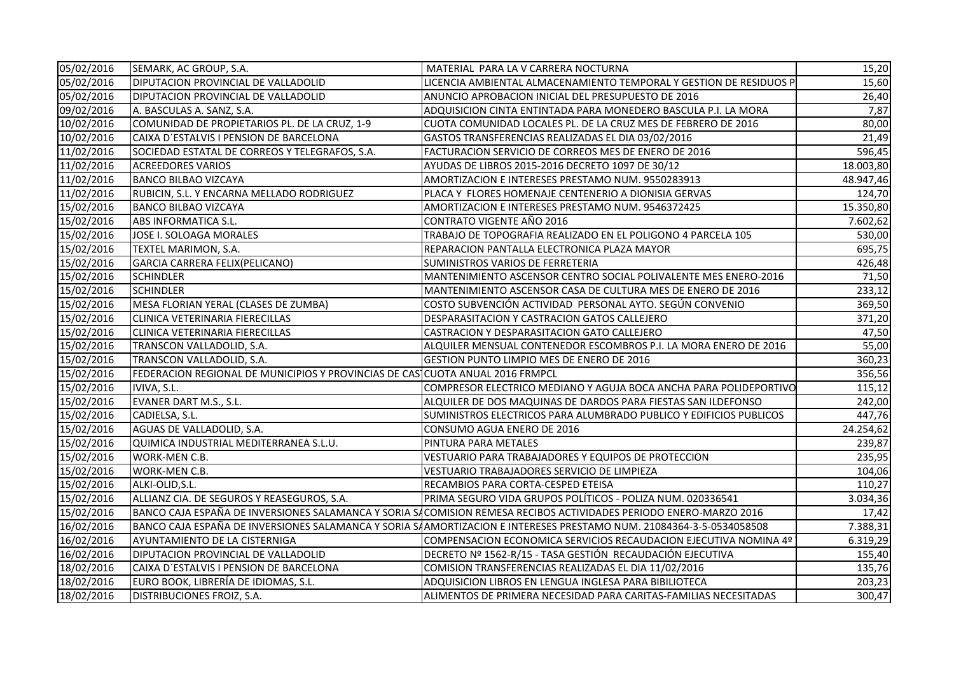| 05/02/2016 | SEMARK, AC GROUP, S.A.                                                        | MATERIAL PARA LA V CARRERA NOCTURNA                                                                                 | 15,20     |
|------------|-------------------------------------------------------------------------------|---------------------------------------------------------------------------------------------------------------------|-----------|
| 05/02/2016 | DIPUTACION PROVINCIAL DE VALLADOLID                                           | LICENCIA AMBIENTAL ALMACENAMIENTO TEMPORAL Y GESTION DE RESIDUOS P                                                  | 15,60     |
| 05/02/2016 | DIPUTACION PROVINCIAL DE VALLADOLID                                           | ANUNCIO APROBACION INICIAL DEL PRESUPUESTO DE 2016                                                                  | 26,40     |
| 09/02/2016 | A. BASCULAS A. SANZ, S.A.                                                     | ADQUISICION CINTA ENTINTADA PARA MONEDERO BASCULA P.I. LA MORA                                                      | 7,87      |
| 10/02/2016 | COMUNIDAD DE PROPIETARIOS PL. DE LA CRUZ, 1-9                                 | CUOTA COMUNIDAD LOCALES PL. DE LA CRUZ MES DE FEBRERO DE 2016                                                       | 80,00     |
| 10/02/2016 | CAIXA D'ESTALVIS I PENSION DE BARCELONA                                       | GASTOS TRANSFERENCIAS REALIZADAS EL DIA 03/02/2016                                                                  | 21,49     |
| 11/02/2016 | SOCIEDAD ESTATAL DE CORREOS Y TELEGRAFOS, S.A.                                | FACTURACION SERVICIO DE CORREOS MES DE ENERO DE 2016                                                                | 596,45    |
| 11/02/2016 | <b>ACREEDORES VARIOS</b>                                                      | AYUDAS DE LIBROS 2015-2016 DECRETO 1097 DE 30/12                                                                    | 18.003,80 |
| 11/02/2016 | <b>BANCO BILBAO VIZCAYA</b>                                                   | AMORTIZACION E INTERESES PRESTAMO NUM. 9550283913                                                                   | 48.947,46 |
| 11/02/2016 | RUBICIN, S.L. Y ENCARNA MELLADO RODRIGUEZ                                     | PLACA Y FLORES HOMENAJE CENTENERIO A DIONISIA GERVAS                                                                | 124,70    |
| 15/02/2016 | <b>BANCO BILBAO VIZCAYA</b>                                                   | AMORTIZACION E INTERESES PRESTAMO NUM. 9546372425                                                                   | 15.350,80 |
| 15/02/2016 | ABS INFORMATICA S.L.                                                          | CONTRATO VIGENTE AÑO 2016                                                                                           | 7.602,62  |
| 15/02/2016 | JOSE I. SOLOAGA MORALES                                                       | TRABAJO DE TOPOGRAFIA REALIZADO EN EL POLIGONO 4 PARCELA 105                                                        | 530,00    |
| 15/02/2016 | TEXTEL MARIMON, S.A.                                                          | REPARACION PANTALLA ELECTRONICA PLAZA MAYOR                                                                         | 695,75    |
| 15/02/2016 | GARCIA CARRERA FELIX(PELICANO)                                                | SUMINISTROS VARIOS DE FERRETERIA                                                                                    | 426,48    |
| 15/02/2016 | <b>SCHINDLER</b>                                                              | MANTENIMIENTO ASCENSOR CENTRO SOCIAL POLIVALENTE MES ENERO-2016                                                     | 71,50     |
| 15/02/2016 | <b>SCHINDLER</b>                                                              | MANTENIMIENTO ASCENSOR CASA DE CULTURA MES DE ENERO DE 2016                                                         | 233,12    |
| 15/02/2016 | MESA FLORIAN YERAL (CLASES DE ZUMBA)                                          | COSTO SUBVENCIÓN ACTIVIDAD PERSONAL AYTO. SEGÚN CONVENIO                                                            | 369,50    |
| 15/02/2016 | CLINICA VETERINARIA FIERECILLAS                                               | DESPARASITACION Y CASTRACION GATOS CALLEJERO                                                                        | 371,20    |
| 15/02/2016 | CLINICA VETERINARIA FIERECILLAS                                               | CASTRACION Y DESPARASITACION GATO CALLEJERO                                                                         | 47,50     |
| 15/02/2016 | TRANSCON VALLADOLID, S.A.                                                     | ALQUILER MENSUAL CONTENEDOR ESCOMBROS P.I. LA MORA ENERO DE 2016                                                    | 55,00     |
| 15/02/2016 | TRANSCON VALLADOLID, S.A.                                                     | GESTION PUNTO LIMPIO MES DE ENERO DE 2016                                                                           | 360,23    |
| 15/02/2016 | FEDERACION REGIONAL DE MUNICIPIOS Y PROVINCIAS DE CAS CUOTA ANUAL 2016 FRMPCL |                                                                                                                     | 356,56    |
| 15/02/2016 | IVIVA, S.L.                                                                   | COMPRESOR ELECTRICO MEDIANO Y AGUJA BOCA ANCHA PARA POLIDEPORTIVO                                                   | 115,12    |
| 15/02/2016 | EVANER DART M.S., S.L.                                                        | ALQUILER DE DOS MAQUINAS DE DARDOS PARA FIESTAS SAN ILDEFONSO                                                       | 242,00    |
| 15/02/2016 | CADIELSA, S.L.                                                                | SUMINISTROS ELECTRICOS PARA ALUMBRADO PUBLICO Y EDIFICIOS PUBLICOS                                                  | 447,76    |
| 15/02/2016 | AGUAS DE VALLADOLID, S.A.                                                     | CONSUMO AGUA ENERO DE 2016                                                                                          | 24.254,62 |
| 15/02/2016 | QUIMICA INDUSTRIAL MEDITERRANEA S.L.U.                                        | PINTURA PARA METALES                                                                                                | 239,87    |
| 15/02/2016 | WORK-MEN C.B.                                                                 | VESTUARIO PARA TRABAJADORES Y EQUIPOS DE PROTECCION                                                                 | 235,95    |
| 15/02/2016 | WORK-MEN C.B.                                                                 | VESTUARIO TRABAJADORES SERVICIO DE LIMPIEZA                                                                         | 104,06    |
| 15/02/2016 | ALKI-OLID, S.L.                                                               | RECAMBIOS PARA CORTA-CESPED ETEISA                                                                                  | 110,27    |
| 15/02/2016 | ALLIANZ CIA. DE SEGUROS Y REASEGUROS, S.A.                                    | PRIMA SEGURO VIDA GRUPOS POLÍTICOS - POLIZA NUM. 020336541                                                          | 3.034,36  |
| 15/02/2016 |                                                                               | BANCO CAJA ESPAÑA DE INVERSIONES SALAMANCA Y SORIA SACOMISION REMESA RECIBOS ACTIVIDADES PERIODO ENERO-MARZO 2016   | 17,42     |
| 16/02/2016 |                                                                               | BANCO CAJA ESPAÑA DE INVERSIONES SALAMANCA Y SORIA SAAMORTIZACION E INTERESES PRESTAMO NUM. 21084364-3-5-0534058508 | 7.388,31  |
| 16/02/2016 | AYUNTAMIENTO DE LA CISTERNIGA                                                 | COMPENSACION ECONOMICA SERVICIOS RECAUDACION EJECUTIVA NOMINA 4º                                                    | 6.319,29  |
| 16/02/2016 | DIPUTACION PROVINCIAL DE VALLADOLID                                           | DECRETO Nº 1562-R/15 - TASA GESTIÓN RECAUDACIÓN EJECUTIVA                                                           | 155,40    |
| 18/02/2016 | CAIXA D'ESTALVIS I PENSION DE BARCELONA                                       | COMISION TRANSFERENCIAS REALIZADAS EL DIA 11/02/2016                                                                | 135,76    |
| 18/02/2016 | EURO BOOK, LIBRERÍA DE IDIOMAS, S.L.                                          | ADQUISICION LIBROS EN LENGUA INGLESA PARA BIBILIOTECA                                                               | 203,23    |
| 18/02/2016 | DISTRIBUCIONES FROIZ, S.A.                                                    | ALIMENTOS DE PRIMERA NECESIDAD PARA CARITAS-FAMILIAS NECESITADAS                                                    | 300,47    |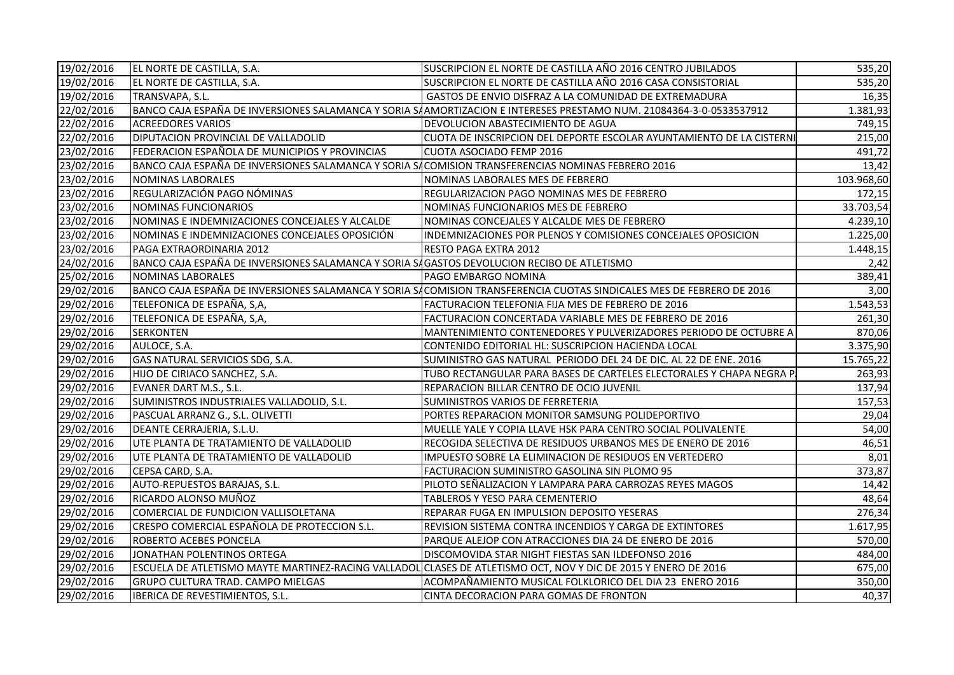| 19/02/2016 | EL NORTE DE CASTILLA, S.A.                                                                        | SUSCRIPCION EL NORTE DE CASTILLA AÑO 2016 CENTRO JUBILADOS                                                           | 535,20     |
|------------|---------------------------------------------------------------------------------------------------|----------------------------------------------------------------------------------------------------------------------|------------|
| 19/02/2016 | EL NORTE DE CASTILLA, S.A.                                                                        | SUSCRIPCION EL NORTE DE CASTILLA AÑO 2016 CASA CONSISTORIAL                                                          | 535,20     |
| 19/02/2016 | TRANSVAPA, S.L.                                                                                   | GASTOS DE ENVIO DISFRAZ A LA COMUNIDAD DE EXTREMADURA                                                                | 16,35      |
| 22/02/2016 |                                                                                                   | BANCO CAJA ESPAÑA DE INVERSIONES SALAMANCA Y SORIA SAAMORTIZACION E INTERESES PRESTAMO NUM. 21084364-3-0-0533537912  | 1.381,93   |
| 22/02/2016 | <b>ACREEDORES VARIOS</b>                                                                          | DEVOLUCION ABASTECIMIENTO DE AGUA                                                                                    | 749,15     |
| 22/02/2016 | DIPUTACION PROVINCIAL DE VALLADOLID                                                               | CUOTA DE INSCRIPCION DEL DEPORTE ESCOLAR AYUNTAMIENTO DE LA CISTERNI                                                 | 215,00     |
| 23/02/2016 | FEDERACION ESPAÑOLA DE MUNICIPIOS Y PROVINCIAS                                                    | <b>CUOTA ASOCIADO FEMP 2016</b>                                                                                      | 491,72     |
| 23/02/2016 | BANCO CAJA ESPAÑA DE INVERSIONES SALAMANCA Y SORIA SACOMISION TRANSFERENCIAS NOMINAS FEBRERO 2016 |                                                                                                                      | 13,42      |
| 23/02/2016 | NOMINAS LABORALES                                                                                 | NOMINAS LABORALES MES DE FEBRERO                                                                                     | 103.968,60 |
| 23/02/2016 | REGULARIZACIÓN PAGO NÓMINAS                                                                       | REGULARIZACION PAGO NOMINAS MES DE FEBRERO                                                                           | 172,15     |
| 23/02/2016 | NOMINAS FUNCIONARIOS                                                                              | NOMINAS FUNCIONARIOS MES DE FEBRERO                                                                                  | 33.703,54  |
| 23/02/2016 | NOMINAS E INDEMNIZACIONES CONCEJALES Y ALCALDE                                                    | NOMINAS CONCEJALES Y ALCALDE MES DE FEBRERO                                                                          | 4.239,10   |
| 23/02/2016 | NOMINAS E INDEMNIZACIONES CONCEJALES OPOSICIÓN                                                    | INDEMNIZACIONES POR PLENOS Y COMISIONES CONCEJALES OPOSICION                                                         | 1.225,00   |
| 23/02/2016 | PAGA EXTRAORDINARIA 2012                                                                          | <b>RESTO PAGA EXTRA 2012</b>                                                                                         | 1.448,15   |
| 24/02/2016 | BANCO CAJA ESPAÑA DE INVERSIONES SALAMANCA Y SORIA SAGASTOS DEVOLUCION RECIBO DE ATLETISMO        |                                                                                                                      | 2,42       |
| 25/02/2016 | NOMINAS LABORALES                                                                                 | PAGO EMBARGO NOMINA                                                                                                  | 389,41     |
| 29/02/2016 |                                                                                                   | BANCO CAJA ESPAÑA DE INVERSIONES SALAMANCA Y SORIA SACOMISION TRANSFERENCIA CUOTAS SINDICALES MES DE FEBRERO DE 2016 | 3,00       |
| 29/02/2016 | TELEFONICA DE ESPAÑA, S,A,                                                                        | FACTURACION TELEFONIA FIJA MES DE FEBRERO DE 2016                                                                    | 1.543,53   |
| 29/02/2016 | TELEFONICA DE ESPAÑA, S,A,                                                                        | FACTURACION CONCERTADA VARIABLE MES DE FEBRERO DE 2016                                                               | 261,30     |
| 29/02/2016 | <b>SERKONTEN</b>                                                                                  | MANTENIMIENTO CONTENEDORES Y PULVERIZADORES PERIODO DE OCTUBRE A                                                     | 870,06     |
| 29/02/2016 | AULOCE, S.A.                                                                                      | CONTENIDO EDITORIAL HL: SUSCRIPCION HACIENDA LOCAL                                                                   | 3.375,90   |
| 29/02/2016 | GAS NATURAL SERVICIOS SDG, S.A.                                                                   | SUMINISTRO GAS NATURAL PERIODO DEL 24 DE DIC. AL 22 DE ENE. 2016                                                     | 15.765,22  |
| 29/02/2016 | HIJO DE CIRIACO SANCHEZ, S.A.                                                                     | TUBO RECTANGULAR PARA BASES DE CARTELES ELECTORALES Y CHAPA NEGRA P.                                                 | 263,93     |
| 29/02/2016 | EVANER DART M.S., S.L.                                                                            | REPARACION BILLAR CENTRO DE OCIO JUVENIL                                                                             | 137,94     |
| 29/02/2016 | SUMINISTROS INDUSTRIALES VALLADOLID, S.L.                                                         | SUMINISTROS VARIOS DE FERRETERIA                                                                                     | 157,53     |
| 29/02/2016 | PASCUAL ARRANZ G., S.L. OLIVETTI                                                                  | PORTES REPARACION MONITOR SAMSUNG POLIDEPORTIVO                                                                      | 29,04      |
| 29/02/2016 | DEANTE CERRAJERIA, S.L.U.                                                                         | MUELLE YALE Y COPIA LLAVE HSK PARA CENTRO SOCIAL POLIVALENTE                                                         | 54,00      |
| 29/02/2016 | UTE PLANTA DE TRATAMIENTO DE VALLADOLID                                                           | RECOGIDA SELECTIVA DE RESIDUOS URBANOS MES DE ENERO DE 2016                                                          | 46,51      |
| 29/02/2016 | UTE PLANTA DE TRATAMIENTO DE VALLADOLID                                                           | IMPUESTO SOBRE LA ELIMINACION DE RESIDUOS EN VERTEDERO                                                               | 8,01       |
| 29/02/2016 | CEPSA CARD, S.A.                                                                                  | FACTURACION SUMINISTRO GASOLINA SIN PLOMO 95                                                                         | 373,87     |
| 29/02/2016 | AUTO-REPUESTOS BARAJAS, S.L.                                                                      | PILOTO SEÑALIZACION Y LAMPARA PARA CARROZAS REYES MAGOS                                                              | 14,42      |
| 29/02/2016 | RICARDO ALONSO MUÑOZ                                                                              | TABLEROS Y YESO PARA CEMENTERIO                                                                                      | 48,64      |
| 29/02/2016 | COMERCIAL DE FUNDICION VALLISOLETANA                                                              | REPARAR FUGA EN IMPULSION DEPOSITO YESERAS                                                                           | 276,34     |
| 29/02/2016 | CRESPO COMERCIAL ESPAÑOLA DE PROTECCION S.L.                                                      | REVISION SISTEMA CONTRA INCENDIOS Y CARGA DE EXTINTORES                                                              | 1.617,95   |
| 29/02/2016 | <b>ROBERTO ACEBES PONCELA</b>                                                                     | PARQUE ALEJOP CON ATRACCIONES DIA 24 DE ENERO DE 2016                                                                | 570,00     |
| 29/02/2016 | JONATHAN POLENTINOS ORTEGA                                                                        | DISCOMOVIDA STAR NIGHT FIESTAS SAN ILDEFONSO 2016                                                                    | 484,00     |
| 29/02/2016 |                                                                                                   | ESCUELA DE ATLETISMO MAYTE MARTINEZ-RACING VALLADOL CLASES DE ATLETISMO OCT, NOV Y DIC DE 2015 Y ENERO DE 2016       | 675,00     |
| 29/02/2016 | <b>GRUPO CULTURA TRAD. CAMPO MIELGAS</b>                                                          | ACOMPAÑAMIENTO MUSICAL FOLKLORICO DEL DIA 23  ENERO 2016                                                             | 350,00     |
| 29/02/2016 | IBERICA DE REVESTIMIENTOS, S.L.                                                                   | CINTA DECORACION PARA GOMAS DE FRONTON                                                                               | 40,37      |